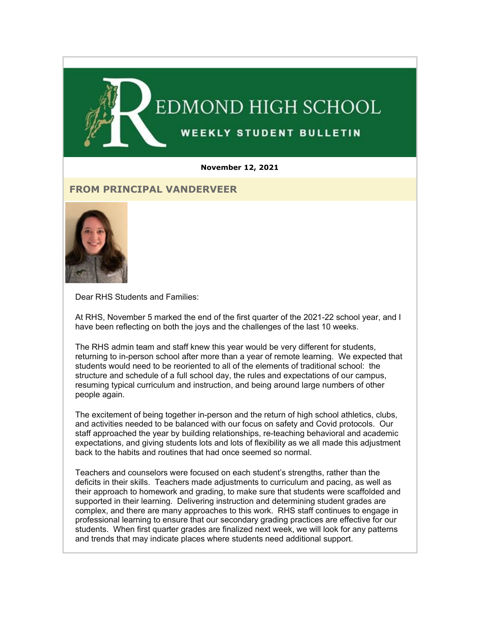

#### **November 12, 2021**

## **FROM PRINCIPAL VANDERVEER**



Dear RHS Students and Families:

At RHS, November 5 marked the end of the first quarter of the 2021-22 school year, and I have been reflecting on both the joys and the challenges of the last 10 weeks.

The RHS admin team and staff knew this year would be very different for students, returning to in-person school after more than a year of remote learning. We expected that students would need to be reoriented to all of the elements of traditional school: the structure and schedule of a full school day, the rules and expectations of our campus, resuming typical curriculum and instruction, and being around large numbers of other people again.

The excitement of being together in-person and the return of high school athletics, clubs, and activities needed to be balanced with our focus on safety and Covid protocols. Our staff approached the year by building relationships, re-teaching behavioral and academic expectations, and giving students lots and lots of flexibility as we all made this adjustment back to the habits and routines that had once seemed so normal.

Teachers and counselors were focused on each student's strengths, rather than the deficits in their skills. Teachers made adjustments to curriculum and pacing, as well as their approach to homework and grading, to make sure that students were scaffolded and supported in their learning. Delivering instruction and determining student grades are complex, and there are many approaches to this work. RHS staff continues to engage in professional learning to ensure that our secondary grading practices are effective for our students. When first quarter grades are finalized next week, we will look for any patterns and trends that may indicate places where students need additional support.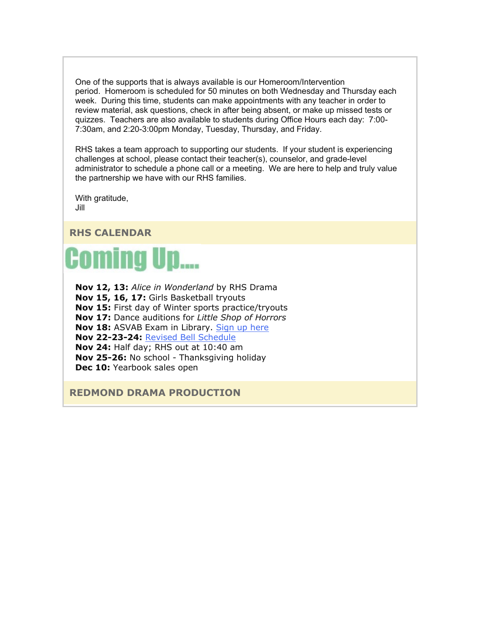One of the supports that is always available is our Homeroom/Intervention period. Homeroom is scheduled for 50 minutes on both Wednesday and Thursday each week. During this time, students can make appointments with any teacher in order to review material, ask questions, check in after being absent, or make up missed tests or quizzes. Teachers are also available to students during Office Hours each day: 7:00- 7:30am, and 2:20-3:00pm Monday, Tuesday, Thursday, and Friday.

RHS takes a team approach to supporting our students. If your student is experiencing challenges at school, please contact their teacher(s), counselor, and grade-level administrator to schedule a phone call or a meeting. We are here to help and truly value the partnership we have with our RHS families.

With gratitude, Jill

## **RHS CALENDAR**

# **Coming Up....**

**Nov 12, 13:** *Alice in Wonderland* by RHS Drama **Nov 15, 16, 17:** Girls Basketball tryouts **Nov 15:** First day of Winter sports practice/tryouts **Nov 17:** Dance auditions for *Little Shop of Horrors* **Nov 18:** ASVAB Exam in Library. [Sign up here](https://nam02.safelinks.protection.outlook.com/?url=http%3A%2F%2Flink.email.dynect.net%2Flink.php%3FDynEngagement%3Dtrue%26H%3DltqmAiFyUus3V9RIZo7G2GvP5ZEKnzR2GJf36yV3Tq87iz%252BFBTeRfYjUciPv0ye18C9AxWwScc8ndQsmQhXaogoj0N7fFsbIHFnlL%252B5%252BpFk54xprCoyBDA%253D%253D%26G%3D0%26R%3Dhttps%253A%252F%252FJXQQGYZTANA.hatchbuck.com%252FTrackLinkClick%253FID2%253DCP5ARzD0_v2z3JM1eSvHSYO5gjO_15WZlQQw-bXlIoLs4Z_HQm3C8yDksOQ2pv7J0%26I%3D20211112224105.0000001d7886%2540mail6-61-ussnn1%26X%3DMHwxMjY0OTIyOjIzMjc2NDk4OTU7MXwxMjY0OTIzOjE4NjIxNDgxNDs%253D%26V%3D3%26S%3D6v-I3DrGgLEDKLLfUzT0lW3G1dvPjYGdgXczgx3MFR4&data=04%7C01%7Cmwood%40lwsd.org%7C6d75915c504c4678351208d9a62d83c8%7C1fd4673fdf9646218638a1d88c4c85d7%7C0%7C0%7C637723536690152164%7CUnknown%7CTWFpbGZsb3d8eyJWIjoiMC4wLjAwMDAiLCJQIjoiV2luMzIiLCJBTiI6Ik1haWwiLCJXVCI6Mn0%3D%7C1000&sdata=Brji8PLoxzL4uSmltJXbB6piI%2BdAxcFCF8oP0hIlNug%3D&reserved=0) **Nov 22-23-24:** [Revised Bell Schedule](https://nam02.safelinks.protection.outlook.com/?url=http%3A%2F%2Flink.email.dynect.net%2Flink.php%3FDynEngagement%3Dtrue%26H%3DltqmAiFyUus3V9RIZo7G2GvP5ZEKnzR2GJf36yV3Tq87iz%252BFBTeRfYjUciPv0ye18C9AxWwScc8ndQsmQhXaogoj0N7fFsbIHFnlL%252B5%252BpFk54xprCoyBDA%253D%253D%26G%3D0%26R%3Dhttps%253A%252F%252FJXQQGYZTANA.hatchbuck.com%252FTrackLinkClick%253FID2%253DEac-fPzOVmlqoEfd3-HHox_k-7tGp0NaJx1x9om0-wxtERgcHBVqYZKBkYGQRRox0%26I%3D20211112224105.0000001d7886%2540mail6-61-ussnn1%26X%3DMHwxMjY0OTIyOjIzMjc2NDk4OTU7MXwxMjY0OTIzOjE4NjIxNDgxNDs%253D%26V%3D3%26S%3DLEdgAWf1__akgKMb6Vj1s4vbt5EZVwI8WuRSr1n5a8E&data=04%7C01%7Cmwood%40lwsd.org%7C6d75915c504c4678351208d9a62d83c8%7C1fd4673fdf9646218638a1d88c4c85d7%7C0%7C0%7C637723536690162156%7CUnknown%7CTWFpbGZsb3d8eyJWIjoiMC4wLjAwMDAiLCJQIjoiV2luMzIiLCJBTiI6Ik1haWwiLCJXVCI6Mn0%3D%7C1000&sdata=fcxK4C2VYPFeqal75PTlNfR%2BNmzOmFEarAMpJ%2Fvmv%2Fw%3D&reserved=0) **Nov 24:** Half day; RHS out at 10:40 am **Nov 25-26:** No school - Thanksgiving holiday **Dec 10:** Yearbook sales open

**REDMOND DRAMA PRODUCTION**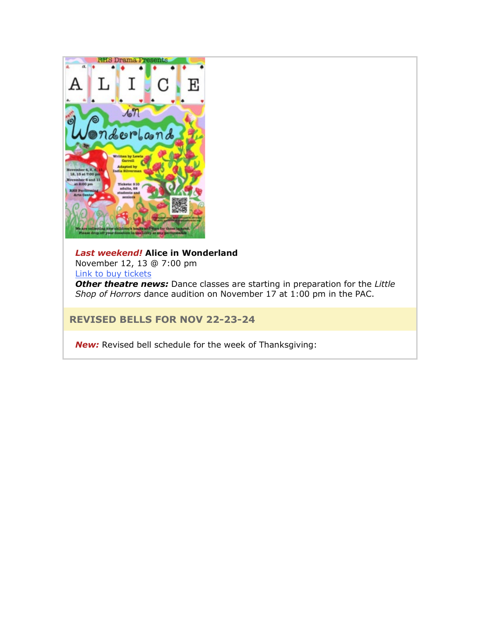

## *Last weekend!* **Alice in Wonderland** November 12, 13 @ 7:00 pm

[Link to buy tickets](https://nam02.safelinks.protection.outlook.com/?url=http%3A%2F%2Flink.email.dynect.net%2Flink.php%3FDynEngagement%3Dtrue%26H%3DltqmAiFyUus3V9RIZo7G2GvP5ZEKnzR2GJf36yV3Tq87iz%252BFBTeRfYjUciPv0ye18C9AxWwScc8ndQsmQhXaogoj0N7fFsbIHFnlL%252B5%252BpFk54xprCoyBDA%253D%253D%26G%3D0%26R%3Dhttps%253A%252F%252FJXQQGYZTANA.hatchbuck.com%252FTrackLinkClick%253FID2%253DAWLncXT7jcWMWnfz7NO1BmOjQ2TpqXOxl0sHKRiGPpfum2-jId61MOnYrcXwke8y0%26I%3D20211112224105.0000001d7886%2540mail6-61-ussnn1%26X%3DMHwxMjY0OTIyOjIzMjc2NDk4OTU7MXwxMjY0OTIzOjE4NjIxNDgxNDs%253D%26V%3D3%26S%3DjjGDFbkLSIotNjvRoGvEPwHlOalOdY09CmjUpNqNaT4&data=04%7C01%7Cmwood%40lwsd.org%7C6d75915c504c4678351208d9a62d83c8%7C1fd4673fdf9646218638a1d88c4c85d7%7C0%7C0%7C637723536690162156%7CUnknown%7CTWFpbGZsb3d8eyJWIjoiMC4wLjAwMDAiLCJQIjoiV2luMzIiLCJBTiI6Ik1haWwiLCJXVCI6Mn0%3D%7C1000&sdata=o75bCBNowUlHs7N8snhIjltfhSqpcL7L2nIWmBgm9js%3D&reserved=0)

*Other theatre news:* Dance classes are starting in preparation for the *Little Shop of Horrors* dance audition on November 17 at 1:00 pm in the PAC.

## **REVISED BELLS FOR NOV 22-23-24**

*New:* Revised bell schedule for the week of Thanksgiving: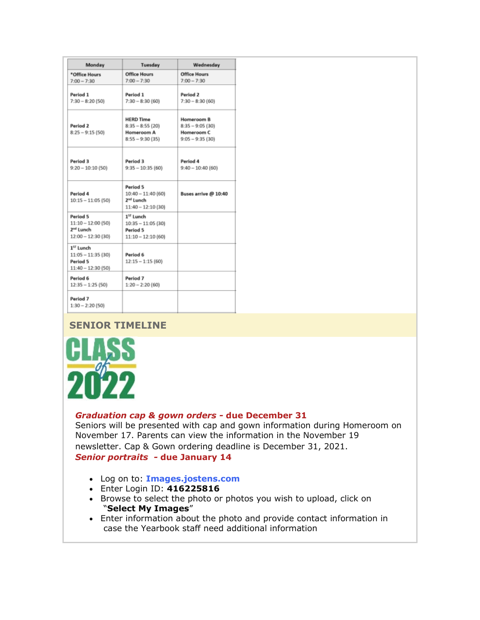| Monday                                                                           | Tuesday                                                                         | Wednesday                                                          |
|----------------------------------------------------------------------------------|---------------------------------------------------------------------------------|--------------------------------------------------------------------|
| *Office Hours<br>$7:00 - 7:30$                                                   | <b>Office Hours</b><br>$7:00 - 7:30$                                            | <b>Office Hours</b><br>$7:00 - 7:30$                               |
| Period 1<br>$7:30 - 8:20(50)$                                                    | Period 1<br>$7:30 - 8:30(60)$                                                   | Period 2<br>$7:30 - 8:30(60)$                                      |
| Period 2<br>$8:25 - 9:15(50)$                                                    | <b>HERD Time</b><br>$8:35 - 8:55(20)$<br>Homeroom A<br>$8:55 - 9:30(35)$        | Homeroom B<br>$8:35 - 9:05(30)$<br>Homeroom C<br>$9:05 - 9:35(30)$ |
| Period 3<br>$9:20 - 10:10(50)$                                                   | Period 3<br>$9:35 - 10:35(60)$                                                  | Period 4<br>$9:40 - 10:40(60)$                                     |
| Period 4<br>$10:15 - 11:05$ (50)                                                 | Period 5<br>$10:40 - 11:40(60)$<br>2 <sup>nd</sup> Lunch<br>$11:40 - 12:10(30)$ | Buses arrive @ 10:40                                               |
| Period 5<br>$11:10 - 12:00$ (50)<br>2 <sup>nd</sup> Lunch<br>$12:00 - 12:30(30)$ | 1 <sup>57</sup> Lunch<br>$10:35 - 11:05(30)$<br>Period 5<br>$11:10 - 12:10(60)$ |                                                                    |
| 1 <sup>57</sup> Lunch<br>$11:05 - 11:35(30)$<br>Period 5<br>$11:40 - 12:30(50)$  | Period 6<br>$12:15 - 1:15(60)$                                                  |                                                                    |
| Period 6<br>$12:35 - 1:25(50)$                                                   | Period 7<br>$1:20 - 2:20(60)$                                                   |                                                                    |
| Period 7<br>$1:30 - 2:20(50)$                                                    |                                                                                 |                                                                    |

## **SENIOR TIMELINE**



## *Graduation cap & gown orders -* **due December 31**

Seniors will be presented with cap and gown information during Homeroom on November 17. Parents can view the information in the November 19 newsletter. Cap & Gown ordering deadline is December 31, 2021. *Senior portraits -* **due January 14**

## • Log on to: **[Images.jostens.com](https://nam02.safelinks.protection.outlook.com/?url=http%3A%2F%2Flink.email.dynect.net%2Flink.php%3FDynEngagement%3Dtrue%26H%3DltqmAiFyUus3V9RIZo7G2GvP5ZEKnzR2GJf36yV3Tq87iz%252BFBTeRfYjUciPv0ye18C9AxWwScc8ndQsmQhXaogoj0N7fFsbIHFnlL%252B5%252BpFk54xprCoyBDA%253D%253D%26G%3D0%26R%3Dhttps%253A%252F%252FJXQQGYZTANA.hatchbuck.com%252FTrackLinkClick%253FID2%253DGoVoDTjxZDMzYGJTGEqO4BignOtv8H6WyUVLIb4the3SlHnxM0FAXWA7ewWw2WN10%26I%3D20211112224105.0000001d7886%2540mail6-61-ussnn1%26X%3DMHwxMjY0OTIyOjIzMjc2NDk4OTU7MXwxMjY0OTIzOjE4NjIxNDgxNDs%253D%26V%3D3%26S%3DFm21sSqQhnZPnD8Sa2AVH0Uhf7f1JiXTutdpIPZy0yw&data=04%7C01%7Cmwood%40lwsd.org%7C6d75915c504c4678351208d9a62d83c8%7C1fd4673fdf9646218638a1d88c4c85d7%7C0%7C0%7C637723536690172152%7CUnknown%7CTWFpbGZsb3d8eyJWIjoiMC4wLjAwMDAiLCJQIjoiV2luMzIiLCJBTiI6Ik1haWwiLCJXVCI6Mn0%3D%7C1000&sdata=6i1WOcQrdBb%2F8Nt63ymIYJDhhe3kZNnJNEpLNsaXxq0%3D&reserved=0)**

- Enter Login ID: **416225816**
- Browse to select the photo or photos you wish to upload, click on "**Select My Images**"
- Enter information about the photo and provide contact information in case the Yearbook staff need additional information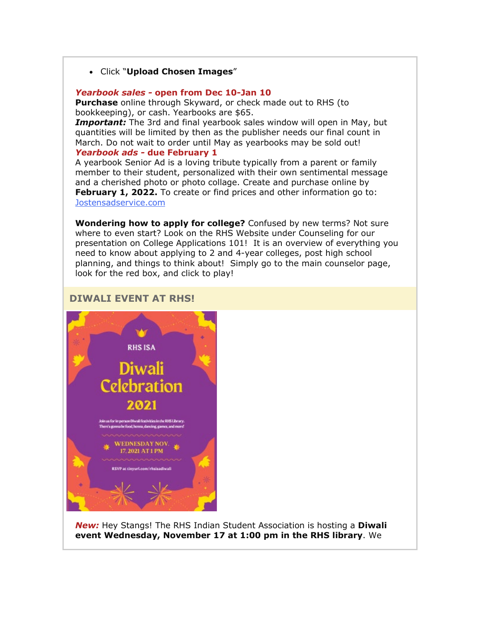## • Click "**Upload Chosen Images**"

#### *Yearbook sales -* **open from Dec 10-Jan 10**

**Purchase** online through Skyward, or check made out to RHS (to bookkeeping), or cash. Yearbooks are \$65.

*Important:* The 3rd and final yearbook sales window will open in May, but quantities will be limited by then as the publisher needs our final count in March. Do not wait to order until May as yearbooks may be sold out! *Yearbook ads -* **due February 1**

A yearbook Senior Ad is a loving tribute typically from a parent or family member to their student, personalized with their own sentimental message and a cherished photo or photo collage. Create and purchase online by **February 1, 2022.** To create or find prices and other information go to: [Jostensadservice.com](https://nam02.safelinks.protection.outlook.com/?url=http%3A%2F%2Flink.email.dynect.net%2Flink.php%3FDynEngagement%3Dtrue%26H%3DltqmAiFyUus3V9RIZo7G2GvP5ZEKnzR2GJf36yV3Tq87iz%252BFBTeRfYjUciPv0ye18C9AxWwScc8ndQsmQhXaogoj0N7fFsbIHFnlL%252B5%252BpFk54xprCoyBDA%253D%253D%26G%3D0%26R%3Dhttps%253A%252F%252FJXQQGYZTANA.hatchbuck.com%252FTrackLinkClick%253FID2%253DSKDofDrNoVLETLMCX43eSpa7_zVtefRnpTF6Zkwutmfo4GM-s_8ziwIXuhjvg0n50%26I%3D20211112224105.0000001d7886%2540mail6-61-ussnn1%26X%3DMHwxMjY0OTIyOjIzMjc2NDk4OTU7MXwxMjY0OTIzOjE4NjIxNDgxNDs%253D%26V%3D3%26S%3DzrkfWgtA15ujkmFDZrT2RC7ZCQ57A9tqxbYMifnJW-I&data=04%7C01%7Cmwood%40lwsd.org%7C6d75915c504c4678351208d9a62d83c8%7C1fd4673fdf9646218638a1d88c4c85d7%7C0%7C0%7C637723536690182144%7CUnknown%7CTWFpbGZsb3d8eyJWIjoiMC4wLjAwMDAiLCJQIjoiV2luMzIiLCJBTiI6Ik1haWwiLCJXVCI6Mn0%3D%7C1000&sdata=gH3Froxs1hHP%2BlQETiNt4E7O4crxTyHF9iqCKT6EO1A%3D&reserved=0)

**Wondering how to apply for college?** Confused by new terms? Not sure where to even start? Look on the RHS Website under Counseling for our presentation on College Applications 101! It is an overview of everything you need to know about applying to 2 and 4-year colleges, post high school planning, and things to think about! Simply go to the main counselor page, look for the red box, and click to play!

## **DIWALI EVENT AT RHS!**



*New:* Hey Stangs! The RHS Indian Student Association is hosting a **Diwali event Wednesday, November 17 at 1:00 pm in the RHS library**. We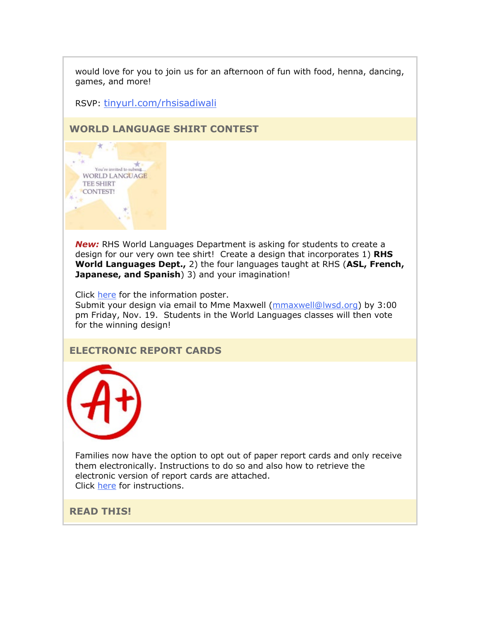would love for you to join us for an afternoon of fun with food, henna, dancing, games, and more!

RSVP: [tinyurl.com/rhsisadiwali](https://nam02.safelinks.protection.outlook.com/?url=http%3A%2F%2Flink.email.dynect.net%2Flink.php%3FDynEngagement%3Dtrue%26H%3DltqmAiFyUus3V9RIZo7G2GvP5ZEKnzR2GJf36yV3Tq87iz%252BFBTeRfYjUciPv0ye18C9AxWwScc8ndQsmQhXaogoj0N7fFsbIHFnlL%252B5%252BpFk54xprCoyBDA%253D%253D%26G%3D0%26R%3Dhttps%253A%252F%252FJXQQGYZTANA.hatchbuck.com%252FTrackLinkClick%253FID2%253DdeOnQJo5pkrt_4L3tOXqc9LIaDlnjFw4kNS9HVUcOJqFYEAEA-u_ZQnoP3dZdzaM0%26I%3D20211112224105.0000001d7886%2540mail6-61-ussnn1%26X%3DMHwxMjY0OTIyOjIzMjc2NDk4OTU7MXwxMjY0OTIzOjE4NjIxNDgxNDs%253D%26V%3D3%26S%3D0miJD7zbSOg605mz-H11eeZ8MiWJldLOh_p6rHwnrZc&data=04%7C01%7Cmwood%40lwsd.org%7C6d75915c504c4678351208d9a62d83c8%7C1fd4673fdf9646218638a1d88c4c85d7%7C0%7C0%7C637723536690182144%7CUnknown%7CTWFpbGZsb3d8eyJWIjoiMC4wLjAwMDAiLCJQIjoiV2luMzIiLCJBTiI6Ik1haWwiLCJXVCI6Mn0%3D%7C1000&sdata=DXvegIrXAZCz9CbyNJZm4dwfKR%2FxhZGQfk9MBMu2LmQ%3D&reserved=0)

**WORLD LANGUAGE SHIRT CONTEST**



*New:* RHS World Languages Department is asking for students to create a design for our very own tee shirt! Create a design that incorporates 1) **RHS World Languages Dept.,** 2) the four languages taught at RHS (**ASL, French, Japanese, and Spanish**) 3) and your imagination!

Click [here](https://nam02.safelinks.protection.outlook.com/?url=http%3A%2F%2Flink.email.dynect.net%2Flink.php%3FDynEngagement%3Dtrue%26H%3DltqmAiFyUus3V9RIZo7G2GvP5ZEKnzR2GJf36yV3Tq87iz%252BFBTeRfYjUciPv0ye18C9AxWwScc8ndQsmQhXaogoj0N7fFsbIHFnlL%252B5%252BpFk54xprCoyBDA%253D%253D%26G%3D0%26R%3Dhttps%253A%252F%252FJXQQGYZTANA.hatchbuck.com%252FTrackLinkClick%253FID2%253DjhurHs3GfGiprnnh7NtKReRMe0TRzQRvJmV-K4pbYHYQZW8IUZ-heyzpkMIUILcE0%26I%3D20211112224105.0000001d7886%2540mail6-61-ussnn1%26X%3DMHwxMjY0OTIyOjIzMjc2NDk4OTU7MXwxMjY0OTIzOjE4NjIxNDgxNDs%253D%26V%3D3%26S%3DFwjHgqfh4Q2fX1XthwerWNRCCiXsMyvf513ir6KfPd8&data=04%7C01%7Cmwood%40lwsd.org%7C6d75915c504c4678351208d9a62d83c8%7C1fd4673fdf9646218638a1d88c4c85d7%7C0%7C0%7C637723536690192139%7CUnknown%7CTWFpbGZsb3d8eyJWIjoiMC4wLjAwMDAiLCJQIjoiV2luMzIiLCJBTiI6Ik1haWwiLCJXVCI6Mn0%3D%7C1000&sdata=fOe3tvwQZPV4KP56qcq%2FfWSoOgoZCAm9N8bYARNMBvk%3D&reserved=0) for the information poster.

Submit your design via email to Mme Maxwell [\(mmaxwell@lwsd.org\)](mailto:mmaxwell@lwsd.org) by 3:00 pm Friday, Nov. 19. Students in the World Languages classes will then vote for the winning design!

## **ELECTRONIC REPORT CARDS**



Families now have the option to opt out of paper report cards and only receive them electronically. Instructions to do so and also how to retrieve the electronic version of report cards are attached. Click [here](https://nam02.safelinks.protection.outlook.com/?url=http%3A%2F%2Flink.email.dynect.net%2Flink.php%3FDynEngagement%3Dtrue%26H%3DltqmAiFyUus3V9RIZo7G2GvP5ZEKnzR2GJf36yV3Tq87iz%252BFBTeRfYjUciPv0ye18C9AxWwScc8ndQsmQhXaogoj0N7fFsbIHFnlL%252B5%252BpFk54xprCoyBDA%253D%253D%26G%3D0%26R%3Dhttps%253A%252F%252FJXQQGYZTANA.hatchbuck.com%252FTrackLinkClick%253FID2%253D8mZ1-bjZ_4SpYKEdlPcMXSTkzwUcfg4YJjY5MMkxaMJFennwlZVFsWzxnFVLYowb0%26I%3D20211112224105.0000001d7886%2540mail6-61-ussnn1%26X%3DMHwxMjY0OTIyOjIzMjc2NDk4OTU7MXwxMjY0OTIzOjE4NjIxNDgxNDs%253D%26V%3D3%26S%3DoCiXM-CddlxZwF3nSPT1XhZetNyjzDEzoGIRmBDEpSc&data=04%7C01%7Cmwood%40lwsd.org%7C6d75915c504c4678351208d9a62d83c8%7C1fd4673fdf9646218638a1d88c4c85d7%7C0%7C0%7C637723536690192139%7CUnknown%7CTWFpbGZsb3d8eyJWIjoiMC4wLjAwMDAiLCJQIjoiV2luMzIiLCJBTiI6Ik1haWwiLCJXVCI6Mn0%3D%7C1000&sdata=2lNffGGDxcEAXpXN78PHzP4NjUG4FmVu51oa2g4U8UQ%3D&reserved=0) for instructions.

**READ THIS!**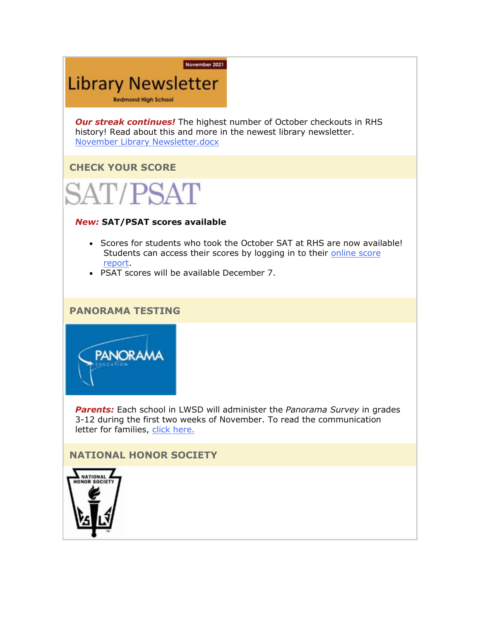#### November 2021

## **Library Newsletter**

**Redmond High School** 

*Our streak continues!* The highest number of October checkouts in RHS history! Read about this and more in the newest library newsletter. [November Library Newsletter.docx](https://nam02.safelinks.protection.outlook.com/?url=http%3A%2F%2Flink.email.dynect.net%2Flink.php%3FDynEngagement%3Dtrue%26H%3DltqmAiFyUus3V9RIZo7G2GvP5ZEKnzR2GJf36yV3Tq87iz%252BFBTeRfYjUciPv0ye18C9AxWwScc8ndQsmQhXaogoj0N7fFsbIHFnlL%252B5%252BpFk54xprCoyBDA%253D%253D%26G%3D0%26R%3Dhttps%253A%252F%252FJXQQGYZTANA.hatchbuck.com%252FTrackLinkClick%253FID2%253DPZGgR-KsGdpvogrSg9Pwy_-CUDH9rEv_LYxFoPuslHpPBporAe08lA3nQm_35VBc0%26I%3D20211112224105.0000001d7886%2540mail6-61-ussnn1%26X%3DMHwxMjY0OTIyOjIzMjc2NDk4OTU7MXwxMjY0OTIzOjE4NjIxNDgxNDs%253D%26V%3D3%26S%3D-N94X-RNL9C4nfAfrLs0lbCj8ASV-yRSAOYB162U-1Q&data=04%7C01%7Cmwood%40lwsd.org%7C6d75915c504c4678351208d9a62d83c8%7C1fd4673fdf9646218638a1d88c4c85d7%7C0%7C0%7C637723536690202136%7CUnknown%7CTWFpbGZsb3d8eyJWIjoiMC4wLjAwMDAiLCJQIjoiV2luMzIiLCJBTiI6Ik1haWwiLCJXVCI6Mn0%3D%7C1000&sdata=xfK87RLb%2BYqMActVjhy9Tv2V6UAXfvpaauzVOkbXiik%3D&reserved=0)

## **CHECK YOUR SCORE**



## *New:* **SAT/PSAT scores available**

- Scores for students who took the October SAT at RHS are now available! Students can access their scores by logging in to their online score [report.](https://nam02.safelinks.protection.outlook.com/?url=http%3A%2F%2Flink.email.dynect.net%2Flink.php%3FDynEngagement%3Dtrue%26H%3DltqmAiFyUus3V9RIZo7G2GvP5ZEKnzR2GJf36yV3Tq87iz%252BFBTeRfYjUciPv0ye18C9AxWwScc8ndQsmQhXaogoj0N7fFsbIHFnlL%252B5%252BpFk54xprCoyBDA%253D%253D%26G%3D0%26R%3Dhttps%253A%252F%252FJXQQGYZTANA.hatchbuck.com%252FTrackLinkClick%253FID2%253D-i7OkFwbFIyTLsS6nSuHbk_fi51VxX-PL3RjP0zZD3Ks1FbDQTXwJUf-a8jyIDfd0%26I%3D20211112224105.0000001d7886%2540mail6-61-ussnn1%26X%3DMHwxMjY0OTIyOjIzMjc2NDk4OTU7MXwxMjY0OTIzOjE4NjIxNDgxNDs%253D%26V%3D3%26S%3D41z77KFW_L7B28V0qC1tf8w7YQEj4cy5PGaPQMM_nY0&data=04%7C01%7Cmwood%40lwsd.org%7C6d75915c504c4678351208d9a62d83c8%7C1fd4673fdf9646218638a1d88c4c85d7%7C0%7C0%7C637723536690212128%7CUnknown%7CTWFpbGZsb3d8eyJWIjoiMC4wLjAwMDAiLCJQIjoiV2luMzIiLCJBTiI6Ik1haWwiLCJXVCI6Mn0%3D%7C1000&sdata=etvq6fciUJpS3RAKab8Gy32Ssk4wGCioCCnGo0dpJsI%3D&reserved=0)
- PSAT scores will be available December 7.

## **PANORAMA TESTING**



*Parents:* Each school in LWSD will administer the *Panorama Survey* in grades 3-12 during the first two weeks of November. To read the communication letter for families, [click here.](https://nam02.safelinks.protection.outlook.com/?url=http%3A%2F%2Flink.email.dynect.net%2Flink.php%3FDynEngagement%3Dtrue%26H%3DltqmAiFyUus3V9RIZo7G2GvP5ZEKnzR2GJf36yV3Tq87iz%252BFBTeRfYjUciPv0ye18C9AxWwScc8ndQsmQhXaogoj0N7fFsbIHFnlL%252B5%252BpFk54xprCoyBDA%253D%253D%26G%3D0%26R%3Dhttps%253A%252F%252FJXQQGYZTANA.hatchbuck.com%252FTrackLinkClick%253FID2%253DagH5rEy0ID1wWDatYtTa4l6GKnq67ZyAZ6Ob1d1g3L50vk2z8zhrMgKcRz6ZofIH0%26I%3D20211112224105.0000001d7886%2540mail6-61-ussnn1%26X%3DMHwxMjY0OTIyOjIzMjc2NDk4OTU7MXwxMjY0OTIzOjE4NjIxNDgxNDs%253D%26V%3D3%26S%3D5ef6hC9qeMFwiAbhltKEYbj3QdaocAxTY3iyiVIe1_8&data=04%7C01%7Cmwood%40lwsd.org%7C6d75915c504c4678351208d9a62d83c8%7C1fd4673fdf9646218638a1d88c4c85d7%7C0%7C0%7C637723536690212128%7CUnknown%7CTWFpbGZsb3d8eyJWIjoiMC4wLjAwMDAiLCJQIjoiV2luMzIiLCJBTiI6Ik1haWwiLCJXVCI6Mn0%3D%7C1000&sdata=0S1cN%2FPv9S9OJmtSZRKrSxzLM1PE1abkV2hkuSOcr3M%3D&reserved=0)

## **NATIONAL HONOR SOCIETY**

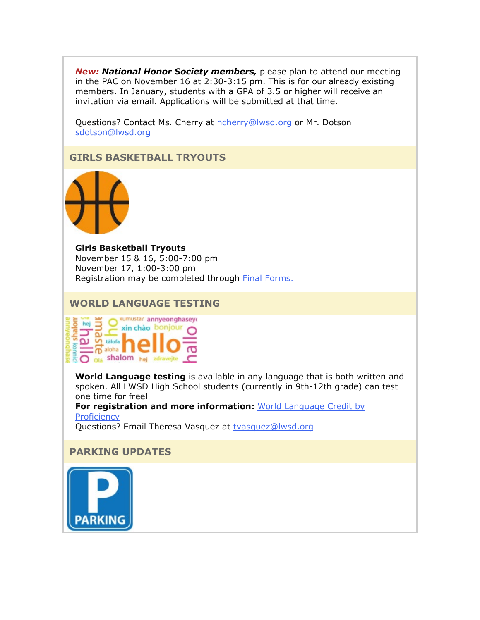*New: National Honor Society members,* please plan to attend our meeting in the PAC on November 16 at 2:30-3:15 pm. This is for our already existing members. In January, students with a GPA of 3.5 or higher will receive an invitation via email. Applications will be submitted at that time.

Questions? Contact Ms. Cherry at [ncherry@lwsd.org](mailto:ncherry@lwsd.org) or Mr. Dotson [sdotson@lwsd.org](mailto:sdotson@lwsd.org)

**GIRLS BASKETBALL TRYOUTS**



**Girls Basketball Tryouts** November 15 & 16, 5:00-7:00 pm November 17, 1:00-3:00 pm Registration may be completed through **[Final Forms.](https://nam02.safelinks.protection.outlook.com/?url=http%3A%2F%2Flink.email.dynect.net%2Flink.php%3FDynEngagement%3Dtrue%26H%3DltqmAiFyUus3V9RIZo7G2GvP5ZEKnzR2GJf36yV3Tq87iz%252BFBTeRfYjUciPv0ye18C9AxWwScc8ndQsmQhXaogoj0N7fFsbIHFnlL%252B5%252BpFk54xprCoyBDA%253D%253D%26G%3D0%26R%3Dhttps%253A%252F%252FJXQQGYZTANA.hatchbuck.com%252FTrackLinkClick%253FID2%253DsPnnm7J3rWSvD6QdDHXWHgdj0lgo-UBMwhCQhLnEqEg1X4LDxUbNzXkH2lRUI0Al0%26I%3D20211112224105.0000001d7886%2540mail6-61-ussnn1%26X%3DMHwxMjY0OTIyOjIzMjc2NDk4OTU7MXwxMjY0OTIzOjE4NjIxNDgxNDs%253D%26V%3D3%26S%3DYu3vb-JEjK1mDbMjQyySXv9AMXy-uc1cj4M7h8qtghk&data=04%7C01%7Cmwood%40lwsd.org%7C6d75915c504c4678351208d9a62d83c8%7C1fd4673fdf9646218638a1d88c4c85d7%7C0%7C0%7C637723536690222121%7CUnknown%7CTWFpbGZsb3d8eyJWIjoiMC4wLjAwMDAiLCJQIjoiV2luMzIiLCJBTiI6Ik1haWwiLCJXVCI6Mn0%3D%7C1000&sdata=CdFLaf4xejv%2Bo4XoG2Uvkovb1kk%2BntVYnRww2hg3Dio%3D&reserved=0)** 

## **WORLD LANGUAGE TESTING**



**World Language testing** is available in any language that is both written and spoken. All LWSD High School students (currently in 9th-12th grade) can test one time for free!

**For registration and more information:** [World Language Credit by](https://nam02.safelinks.protection.outlook.com/?url=http%3A%2F%2Flink.email.dynect.net%2Flink.php%3FDynEngagement%3Dtrue%26H%3DltqmAiFyUus3V9RIZo7G2GvP5ZEKnzR2GJf36yV3Tq87iz%252BFBTeRfYjUciPv0ye18C9AxWwScc8ndQsmQhXaogoj0N7fFsbIHFnlL%252B5%252BpFk54xprCoyBDA%253D%253D%26G%3D0%26R%3Dhttps%253A%252F%252FJXQQGYZTANA.hatchbuck.com%252FTrackLinkClick%253FID2%253Dr7bmD3p3NhXq5s6jxQGJ0lqTM9IlCng8OH3q93C9tofRr5qpV2QJo9Jp3BNOmBMf0%26I%3D20211112224105.0000001d7886%2540mail6-61-ussnn1%26X%3DMHwxMjY0OTIyOjIzMjc2NDk4OTU7MXwxMjY0OTIzOjE4NjIxNDgxNDs%253D%26V%3D3%26S%3D0fN9unno30mkUOVtVQg_T4rl_wikmqcJOwUp9JrrVvQ&data=04%7C01%7Cmwood%40lwsd.org%7C6d75915c504c4678351208d9a62d83c8%7C1fd4673fdf9646218638a1d88c4c85d7%7C0%7C0%7C637723536690222121%7CUnknown%7CTWFpbGZsb3d8eyJWIjoiMC4wLjAwMDAiLCJQIjoiV2luMzIiLCJBTiI6Ik1haWwiLCJXVCI6Mn0%3D%7C1000&sdata=op9ab%2FX21covhQjJczePso5%2FScF4spG5OHx4cPKX8dE%3D&reserved=0)  **[Proficiency](https://nam02.safelinks.protection.outlook.com/?url=http%3A%2F%2Flink.email.dynect.net%2Flink.php%3FDynEngagement%3Dtrue%26H%3DltqmAiFyUus3V9RIZo7G2GvP5ZEKnzR2GJf36yV3Tq87iz%252BFBTeRfYjUciPv0ye18C9AxWwScc8ndQsmQhXaogoj0N7fFsbIHFnlL%252B5%252BpFk54xprCoyBDA%253D%253D%26G%3D0%26R%3Dhttps%253A%252F%252FJXQQGYZTANA.hatchbuck.com%252FTrackLinkClick%253FID2%253Dr7bmD3p3NhXq5s6jxQGJ0lqTM9IlCng8OH3q93C9tofRr5qpV2QJo9Jp3BNOmBMf0%26I%3D20211112224105.0000001d7886%2540mail6-61-ussnn1%26X%3DMHwxMjY0OTIyOjIzMjc2NDk4OTU7MXwxMjY0OTIzOjE4NjIxNDgxNDs%253D%26V%3D3%26S%3D0fN9unno30mkUOVtVQg_T4rl_wikmqcJOwUp9JrrVvQ&data=04%7C01%7Cmwood%40lwsd.org%7C6d75915c504c4678351208d9a62d83c8%7C1fd4673fdf9646218638a1d88c4c85d7%7C0%7C0%7C637723536690222121%7CUnknown%7CTWFpbGZsb3d8eyJWIjoiMC4wLjAwMDAiLCJQIjoiV2luMzIiLCJBTiI6Ik1haWwiLCJXVCI6Mn0%3D%7C1000&sdata=op9ab%2FX21covhQjJczePso5%2FScF4spG5OHx4cPKX8dE%3D&reserved=0)** 

Questions? Email Theresa Vasquez at [tvasquez@lwsd.org](mailto:tvasquez@lwsd.org)

## **PARKING UPDATES**

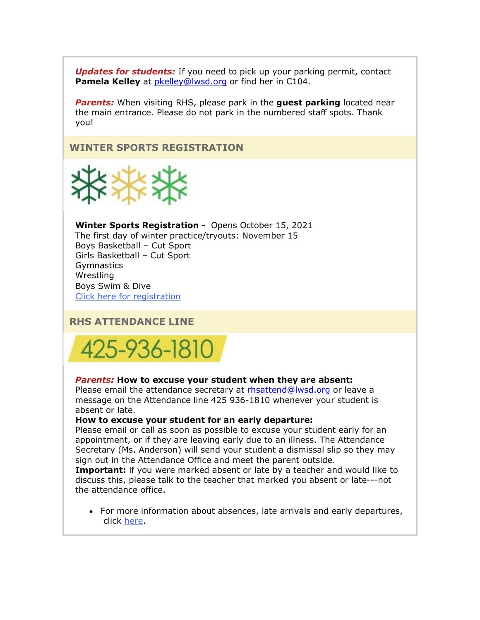*Updates for students:* If you need to pick up your parking permit, contact **Pamela Kelley** at [pkelley@lwsd.org](mailto:pkelley@lwsd.org) or find her in C104.

*Parents:* When visiting RHS, please park in the **guest parking** located near the main entrance. Please do not park in the numbered staff spots. Thank you!

## **WINTER SPORTS REGISTRATION**



**Winter Sports Registration -** Opens October 15, 2021 The first day of winter practice/tryouts: November 15 Boys Basketball – Cut Sport Girls Basketball – Cut Sport **Gymnastics Wrestling** Boys Swim & Dive Click here for [registration](https://nam02.safelinks.protection.outlook.com/?url=http%3A%2F%2Flink.email.dynect.net%2Flink.php%3FDynEngagement%3Dtrue%26H%3DltqmAiFyUus3V9RIZo7G2GvP5ZEKnzR2GJf36yV3Tq87iz%252BFBTeRfYjUciPv0ye18C9AxWwScc8ndQsmQhXaogoj0N7fFsbIHFnlL%252B5%252BpFk54xprCoyBDA%253D%253D%26G%3D0%26R%3Dhttps%253A%252F%252FJXQQGYZTANA.hatchbuck.com%252FTrackLinkClick%253FID2%253DsPnnm7J3rWSvD6QdDHXWHgdj0lgo-UBMwhCQhLnEqEg1X4LDxUbNzXkH2lRUI0Al0%26I%3D20211112224105.0000001d7886%2540mail6-61-ussnn1%26X%3DMHwxMjY0OTIyOjIzMjc2NDk4OTU7MXwxMjY0OTIzOjE4NjIxNDgxNDs%253D%26V%3D3%26S%3DYu3vb-JEjK1mDbMjQyySXv9AMXy-uc1cj4M7h8qtghk&data=04%7C01%7Cmwood%40lwsd.org%7C6d75915c504c4678351208d9a62d83c8%7C1fd4673fdf9646218638a1d88c4c85d7%7C0%7C0%7C637723536690232117%7CUnknown%7CTWFpbGZsb3d8eyJWIjoiMC4wLjAwMDAiLCJQIjoiV2luMzIiLCJBTiI6Ik1haWwiLCJXVCI6Mn0%3D%7C1000&sdata=oM7xMcwdoMhHhcuprmk813kmxmrX6bN7YeuCgBDj9Uo%3D&reserved=0)

## **RHS ATTENDANCE LINE**



#### *Parents:* **How to excuse your student when they are absent:**

Please email the attendance secretary at [rhsattend@lwsd.org](mailto:rhsattend@lwsd.org) or leave a message on the Attendance line 425 936-1810 whenever your student is absent or late.

#### **How to excuse your student for an early departure:**

Please email or call as soon as possible to excuse your student early for an appointment, or if they are leaving early due to an illness. The Attendance Secretary (Ms. Anderson) will send your student a dismissal slip so they may sign out in the Attendance Office and meet the parent outside.

**Important:** if you were marked absent or late by a teacher and would like to discuss this, please talk to the teacher that marked you absent or late---not the attendance office.

• For more information about absences, late arrivals and early departures, click [here.](https://nam02.safelinks.protection.outlook.com/?url=http%3A%2F%2Flink.email.dynect.net%2Flink.php%3FDynEngagement%3Dtrue%26H%3DltqmAiFyUus3V9RIZo7G2GvP5ZEKnzR2GJf36yV3Tq87iz%252BFBTeRfYjUciPv0ye18C9AxWwScc8ndQsmQhXaogoj0N7fFsbIHFnlL%252B5%252BpFk54xprCoyBDA%253D%253D%26G%3D0%26R%3Dhttps%253A%252F%252FJXQQGYZTANA.hatchbuck.com%252FTrackLinkClick%253FID2%253DL2if7tauNj_q_RfxhsGZbwC8y-QuS0dDOc4wdlEprXxsWfGuTxRJBQC0BFlGSBdp0%26I%3D20211112224105.0000001d7886%2540mail6-61-ussnn1%26X%3DMHwxMjY0OTIyOjIzMjc2NDk4OTU7MXwxMjY0OTIzOjE4NjIxNDgxNDs%253D%26V%3D3%26S%3D65CTmkxrh8I1TnW23-LnxyIzWHLWBSERzM7yIkjRQMY&data=04%7C01%7Cmwood%40lwsd.org%7C6d75915c504c4678351208d9a62d83c8%7C1fd4673fdf9646218638a1d88c4c85d7%7C0%7C0%7C637723536690242112%7CUnknown%7CTWFpbGZsb3d8eyJWIjoiMC4wLjAwMDAiLCJQIjoiV2luMzIiLCJBTiI6Ik1haWwiLCJXVCI6Mn0%3D%7C1000&sdata=x2Nt7%2B880a2NWLHU5UE5vnxm58unnodeEu20UD7lCD0%3D&reserved=0)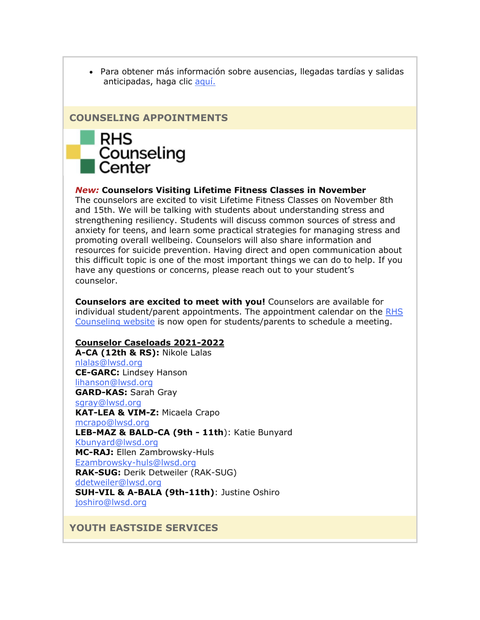• Para obtener más información sobre ausencias, llegadas tardías y salidas anticipadas, haga clic [aquí.](https://nam02.safelinks.protection.outlook.com/?url=http%3A%2F%2Flink.email.dynect.net%2Flink.php%3FDynEngagement%3Dtrue%26H%3DltqmAiFyUus3V9RIZo7G2GvP5ZEKnzR2GJf36yV3Tq87iz%252BFBTeRfYjUciPv0ye18C9AxWwScc8ndQsmQhXaogoj0N7fFsbIHFnlL%252B5%252BpFk54xprCoyBDA%253D%253D%26G%3D0%26R%3Dhttps%253A%252F%252FJXQQGYZTANA.hatchbuck.com%252FTrackLinkClick%253FID2%253DZ-FlqEng1bfnUYHjSRU5N2Y4_cQezeiVnvDPxXXPpiJ_HwOLDFbTNL1vVWMlBaPj0%26I%3D20211112224105.0000001d7886%2540mail6-61-ussnn1%26X%3DMHwxMjY0OTIyOjIzMjc2NDk4OTU7MXwxMjY0OTIzOjE4NjIxNDgxNDs%253D%26V%3D3%26S%3DRdKYfsFCXkhKHKoItMKXFqdD4Dfgg_vpDpf5l93JgRs&data=04%7C01%7Cmwood%40lwsd.org%7C6d75915c504c4678351208d9a62d83c8%7C1fd4673fdf9646218638a1d88c4c85d7%7C0%7C0%7C637723536690242112%7CUnknown%7CTWFpbGZsb3d8eyJWIjoiMC4wLjAwMDAiLCJQIjoiV2luMzIiLCJBTiI6Ik1haWwiLCJXVCI6Mn0%3D%7C1000&sdata=4KZl8%2FH%2FLlVsBcIBM98Qje3n%2F5W%2FuSzMIOiYwvuQS8c%3D&reserved=0)

## **COUNSELING APPOINTMENTS**



### *New:* **Counselors Visiting Lifetime Fitness Classes in November**

The counselors are excited to visit Lifetime Fitness Classes on November 8th and 15th. We will be talking with students about understanding stress and strengthening resiliency. Students will discuss common sources of stress and anxiety for teens, and learn some practical strategies for managing stress and promoting overall wellbeing. Counselors will also share information and resources for suicide prevention. Having direct and open communication about this difficult topic is one of the most important things we can do to help. If you have any questions or concerns, please reach out to your student's counselor.

**Counselors are excited to meet with you!** Counselors are available for individual student/parent appointments. The appointment calendar on the [RHS](https://nam02.safelinks.protection.outlook.com/?url=http%3A%2F%2Flink.email.dynect.net%2Flink.php%3FDynEngagement%3Dtrue%26H%3DltqmAiFyUus3V9RIZo7G2GvP5ZEKnzR2GJf36yV3Tq87iz%252BFBTeRfYjUciPv0ye18C9AxWwScc8ndQsmQhXaogoj0N7fFsbIHFnlL%252B5%252BpFk54xprCoyBDA%253D%253D%26G%3D0%26R%3Dhttps%253A%252F%252FJXQQGYZTANA.hatchbuck.com%252FTrackLinkClick%253FID2%253D6cQL5piaYYG4mXOL_adHMoR1TNbFj79XW80wSv8m30Zye18WQBiR9FqMoIRyAFcw0%26I%3D20211112224105.0000001d7886%2540mail6-61-ussnn1%26X%3DMHwxMjY0OTIyOjIzMjc2NDk4OTU7MXwxMjY0OTIzOjE4NjIxNDgxNDs%253D%26V%3D3%26S%3DCW7_uTyVO5r0IpQR13-vyI00yDaD5dkYzozCC5wgBZs&data=04%7C01%7Cmwood%40lwsd.org%7C6d75915c504c4678351208d9a62d83c8%7C1fd4673fdf9646218638a1d88c4c85d7%7C0%7C0%7C637723536690252108%7CUnknown%7CTWFpbGZsb3d8eyJWIjoiMC4wLjAwMDAiLCJQIjoiV2luMzIiLCJBTiI6Ik1haWwiLCJXVCI6Mn0%3D%7C1000&sdata=aieNecfs%2BXQCM6cCP3Cl39jbisrAUcdxcKXXM5QqVEg%3D&reserved=0)  [Counseling website](https://nam02.safelinks.protection.outlook.com/?url=http%3A%2F%2Flink.email.dynect.net%2Flink.php%3FDynEngagement%3Dtrue%26H%3DltqmAiFyUus3V9RIZo7G2GvP5ZEKnzR2GJf36yV3Tq87iz%252BFBTeRfYjUciPv0ye18C9AxWwScc8ndQsmQhXaogoj0N7fFsbIHFnlL%252B5%252BpFk54xprCoyBDA%253D%253D%26G%3D0%26R%3Dhttps%253A%252F%252FJXQQGYZTANA.hatchbuck.com%252FTrackLinkClick%253FID2%253D6cQL5piaYYG4mXOL_adHMoR1TNbFj79XW80wSv8m30Zye18WQBiR9FqMoIRyAFcw0%26I%3D20211112224105.0000001d7886%2540mail6-61-ussnn1%26X%3DMHwxMjY0OTIyOjIzMjc2NDk4OTU7MXwxMjY0OTIzOjE4NjIxNDgxNDs%253D%26V%3D3%26S%3DCW7_uTyVO5r0IpQR13-vyI00yDaD5dkYzozCC5wgBZs&data=04%7C01%7Cmwood%40lwsd.org%7C6d75915c504c4678351208d9a62d83c8%7C1fd4673fdf9646218638a1d88c4c85d7%7C0%7C0%7C637723536690252108%7CUnknown%7CTWFpbGZsb3d8eyJWIjoiMC4wLjAwMDAiLCJQIjoiV2luMzIiLCJBTiI6Ik1haWwiLCJXVCI6Mn0%3D%7C1000&sdata=aieNecfs%2BXQCM6cCP3Cl39jbisrAUcdxcKXXM5QqVEg%3D&reserved=0) is now open for students/parents to schedule a meeting.

#### **Counselor Caseloads 2021-2022**

**A-CA (12th & RS):** Nikole Lalas [nlalas@lwsd.org](mailto:nlalas@lwsd.org) **CE-GARC:** Lindsey Hanson [lihanson@lwsd.org](mailto:lihanson@lwsd.org) **GARD-KAS:** Sarah Gray [sgray@lwsd.org](mailto:sgray@lwsd.org) **KAT-LEA & VIM-Z:** Micaela Crapo [mcrapo@lwsd.org](mailto:mcrapo@lwsd.org) **LEB-MAZ & BALD-CA (9th - 11th**): Katie Bunyard [Kbunyard@lwsd.org](mailto:Kbunyard@lwsd.org) **MC-RAJ:** Ellen Zambrowsky-Huls [Ezambrowsky-huls@lwsd.org](mailto:Ezambrowsky-huls@lwsd.org) **RAK-SUG:** Derik Detweiler (RAK-SUG) [ddetweiler@lwsd.org](mailto:ddetweiler@lwsd.org) **SUH-VIL & A-BALA (9th-11th)**: Justine Oshiro [joshiro@lwsd.org](mailto:joshiro@lwsd.org)

**YOUTH EASTSIDE SERVICES**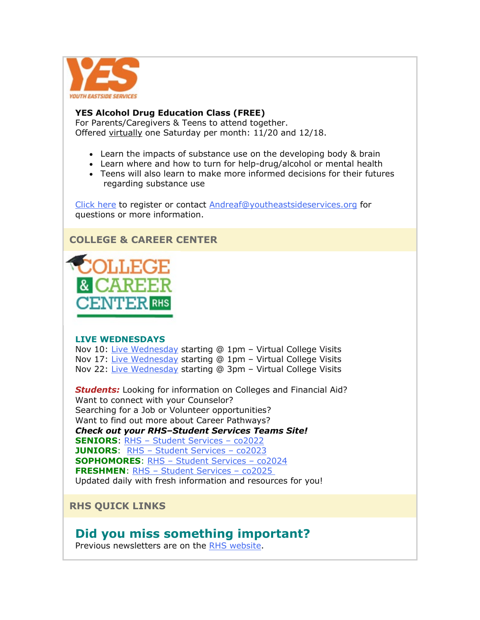

## **YES Alcohol Drug Education Class (FREE)**

For Parents/Caregivers & Teens to attend together. Offered virtually one Saturday per month: 11/20 and 12/18.

- Learn the impacts of substance use on the developing body & brain
- Learn where and how to turn for help-drug/alcohol or mental health
- Teens will also learn to make more informed decisions for their futures regarding substance use

[Click here](https://nam02.safelinks.protection.outlook.com/?url=http%3A%2F%2Flink.email.dynect.net%2Flink.php%3FDynEngagement%3Dtrue%26H%3DltqmAiFyUus3V9RIZo7G2GvP5ZEKnzR2GJf36yV3Tq87iz%252BFBTeRfYjUciPv0ye18C9AxWwScc8ndQsmQhXaogoj0N7fFsbIHFnlL%252B5%252BpFk54xprCoyBDA%253D%253D%26G%3D0%26R%3Dhttps%253A%252F%252FJXQQGYZTANA.hatchbuck.com%252FTrackLinkClick%253FID2%253D0bSmXy07-D6_RApWAlGBji19g-aV_xyRIrh9ut4Ndndkq2TjRmyQO6xwpvIXoWuF0%26I%3D20211112224105.0000001d7886%2540mail6-61-ussnn1%26X%3DMHwxMjY0OTIyOjIzMjc2NDk4OTU7MXwxMjY0OTIzOjE4NjIxNDgxNDs%253D%26V%3D3%26S%3D9Kmre2CnQfAccB-uTZdnn6XddOh2ueymf4z-dA-7rH4&data=04%7C01%7Cmwood%40lwsd.org%7C6d75915c504c4678351208d9a62d83c8%7C1fd4673fdf9646218638a1d88c4c85d7%7C0%7C0%7C637723536690252108%7CUnknown%7CTWFpbGZsb3d8eyJWIjoiMC4wLjAwMDAiLCJQIjoiV2luMzIiLCJBTiI6Ik1haWwiLCJXVCI6Mn0%3D%7C1000&sdata=nZmdEIT2BYqZBHaJ1nDXdFMKp6iILmQ2nUYcUAAe7JU%3D&reserved=0) to register or contact [Andreaf@youtheastsideservices.org](mailto:Andreaf@youtheastsideservices.org) for questions or more information.

## **COLLEGE & CAREER CENTER**



## **LIVE WEDNESDAYS**

Nov 10: [Live Wednesday](https://nam02.safelinks.protection.outlook.com/?url=http%3A%2F%2Flink.email.dynect.net%2Flink.php%3FDynEngagement%3Dtrue%26H%3DltqmAiFyUus3V9RIZo7G2GvP5ZEKnzR2GJf36yV3Tq87iz%252BFBTeRfYjUciPv0ye18C9AxWwScc8ndQsmQhXaogoj0N7fFsbIHFnlL%252B5%252BpFk54xprCoyBDA%253D%253D%26G%3D0%26R%3Dhttps%253A%252F%252FJXQQGYZTANA.hatchbuck.com%252FTrackLinkClick%253FID2%253DiVy7ciZGb344z5gl-sOWFZfVlbP4vIvpvqL5SwTufzrrElzAl7P1tPK0UdRgBA0L0%26I%3D20211112224105.0000001d7886%2540mail6-61-ussnn1%26X%3DMHwxMjY0OTIyOjIzMjc2NDk4OTU7MXwxMjY0OTIzOjE4NjIxNDgxNDs%253D%26V%3D3%26S%3DkhmjEgsjBD2-xIdWq3heOEUe2kQgNxIt6S3678u0R2U&data=04%7C01%7Cmwood%40lwsd.org%7C6d75915c504c4678351208d9a62d83c8%7C1fd4673fdf9646218638a1d88c4c85d7%7C0%7C0%7C637723536690262102%7CUnknown%7CTWFpbGZsb3d8eyJWIjoiMC4wLjAwMDAiLCJQIjoiV2luMzIiLCJBTiI6Ik1haWwiLCJXVCI6Mn0%3D%7C1000&sdata=KiFHlluaeBcCRdQCdFZDCmlgdiVOKdNBMHKZpaubU94%3D&reserved=0) starting @ 1pm – Virtual College Visits Nov 17: [Live Wednesday](https://nam02.safelinks.protection.outlook.com/?url=http%3A%2F%2Flink.email.dynect.net%2Flink.php%3FDynEngagement%3Dtrue%26H%3DltqmAiFyUus3V9RIZo7G2GvP5ZEKnzR2GJf36yV3Tq87iz%252BFBTeRfYjUciPv0ye18C9AxWwScc8ndQsmQhXaogoj0N7fFsbIHFnlL%252B5%252BpFk54xprCoyBDA%253D%253D%26G%3D0%26R%3Dhttps%253A%252F%252FJXQQGYZTANA.hatchbuck.com%252FTrackLinkClick%253FID2%253D5wj6y7V7Pb1NFe-S-1tBg0k86u0R9VCmu0YA5v2dgwhyxW-SpvrtuyPRf26uUpV20%26I%3D20211112224105.0000001d7886%2540mail6-61-ussnn1%26X%3DMHwxMjY0OTIyOjIzMjc2NDk4OTU7MXwxMjY0OTIzOjE4NjIxNDgxNDs%253D%26V%3D3%26S%3D2CxpqbNoF8-NIaWLt9B-S7nsKNYNP0CNZDJLe4IMnqs&data=04%7C01%7Cmwood%40lwsd.org%7C6d75915c504c4678351208d9a62d83c8%7C1fd4673fdf9646218638a1d88c4c85d7%7C0%7C0%7C637723536690272095%7CUnknown%7CTWFpbGZsb3d8eyJWIjoiMC4wLjAwMDAiLCJQIjoiV2luMzIiLCJBTiI6Ik1haWwiLCJXVCI6Mn0%3D%7C1000&sdata=ystwKBhzPhW0YN162uelXeYVG1AVcJYYiH0ZZ2ql7L8%3D&reserved=0) starting @ 1pm - Virtual College Visits Nov 22: [Live Wednesday](https://nam02.safelinks.protection.outlook.com/?url=http%3A%2F%2Flink.email.dynect.net%2Flink.php%3FDynEngagement%3Dtrue%26H%3DltqmAiFyUus3V9RIZo7G2GvP5ZEKnzR2GJf36yV3Tq87iz%252BFBTeRfYjUciPv0ye18C9AxWwScc8ndQsmQhXaogoj0N7fFsbIHFnlL%252B5%252BpFk54xprCoyBDA%253D%253D%26G%3D0%26R%3Dhttps%253A%252F%252FJXQQGYZTANA.hatchbuck.com%252FTrackLinkClick%253FID2%253DaNxYqJRH4JdJZ3P4--vYA47ol_rK22mAJ7TlZw2it0YbD0dnchPBqIFniDiLzPYj0%26I%3D20211112224105.0000001d7886%2540mail6-61-ussnn1%26X%3DMHwxMjY0OTIyOjIzMjc2NDk4OTU7MXwxMjY0OTIzOjE4NjIxNDgxNDs%253D%26V%3D3%26S%3DCbmxHM_R6IAgsmEYo8wSRgojtQ2H3jajKcKZvYAbf6U&data=04%7C01%7Cmwood%40lwsd.org%7C6d75915c504c4678351208d9a62d83c8%7C1fd4673fdf9646218638a1d88c4c85d7%7C0%7C0%7C637723536690272095%7CUnknown%7CTWFpbGZsb3d8eyJWIjoiMC4wLjAwMDAiLCJQIjoiV2luMzIiLCJBTiI6Ik1haWwiLCJXVCI6Mn0%3D%7C1000&sdata=xSOI45yQB0Npt%2FfipOj7ud%2FE%2BIzOcuHUM0Xb7j6tbxY%3D&reserved=0) starting @ 3pm - Virtual College Visits

*Students:* Looking for information on Colleges and Financial Aid? Want to connect with your Counselor? Searching for a Job or Volunteer opportunities? Want to find out more about Career Pathways? *Check out your RHS–Student Services Teams Site!* **SENIORS**: RHS – [Student Services –](https://nam02.safelinks.protection.outlook.com/?url=http%3A%2F%2Flink.email.dynect.net%2Flink.php%3FDynEngagement%3Dtrue%26H%3DltqmAiFyUus3V9RIZo7G2GvP5ZEKnzR2GJf36yV3Tq87iz%252BFBTeRfYjUciPv0ye18C9AxWwScc8ndQsmQhXaogoj0N7fFsbIHFnlL%252B5%252BpFk54xprCoyBDA%253D%253D%26G%3D0%26R%3Dhttps%253A%252F%252FJXQQGYZTANA.hatchbuck.com%252FTrackLinkClick%253FID2%253D43abH40b9HDvvkBVu4dxVGc39lqz0RIuEo-jd_ewZll5DlBgLcfBmkpyY-zuwzw-0%26I%3D20211112224105.0000001d7886%2540mail6-61-ussnn1%26X%3DMHwxMjY0OTIyOjIzMjc2NDk4OTU7MXwxMjY0OTIzOjE4NjIxNDgxNDs%253D%26V%3D3%26S%3DVxGrOo7tEzWlvofY9dZx7RvpC49GgbZ1DQ_8fEAGctw&data=04%7C01%7Cmwood%40lwsd.org%7C6d75915c504c4678351208d9a62d83c8%7C1fd4673fdf9646218638a1d88c4c85d7%7C0%7C0%7C637723536690282088%7CUnknown%7CTWFpbGZsb3d8eyJWIjoiMC4wLjAwMDAiLCJQIjoiV2luMzIiLCJBTiI6Ik1haWwiLCJXVCI6Mn0%3D%7C1000&sdata=mOdHOz%2Fvz0zc1w0exneXbzC1BngIASVJw7lWRO%2Bd25s%3D&reserved=0) co2022 **JUNIORS**: RHS – [Student Services –](https://nam02.safelinks.protection.outlook.com/?url=http%3A%2F%2Flink.email.dynect.net%2Flink.php%3FDynEngagement%3Dtrue%26H%3DltqmAiFyUus3V9RIZo7G2GvP5ZEKnzR2GJf36yV3Tq87iz%252BFBTeRfYjUciPv0ye18C9AxWwScc8ndQsmQhXaogoj0N7fFsbIHFnlL%252B5%252BpFk54xprCoyBDA%253D%253D%26G%3D0%26R%3Dhttps%253A%252F%252FJXQQGYZTANA.hatchbuck.com%252FTrackLinkClick%253FID2%253DLd1h_wbz84MNbIJzIiwsf0-F7qchRDdVl-K5IoS3JIUc2jbdlL9nqqzKS3eIqn8K0%26I%3D20211112224105.0000001d7886%2540mail6-61-ussnn1%26X%3DMHwxMjY0OTIyOjIzMjc2NDk4OTU7MXwxMjY0OTIzOjE4NjIxNDgxNDs%253D%26V%3D3%26S%3Dm2_z6mshZQOKprrpYgrLZT2wI_i8UoqdDHBqE0-8k7U&data=04%7C01%7Cmwood%40lwsd.org%7C6d75915c504c4678351208d9a62d83c8%7C1fd4673fdf9646218638a1d88c4c85d7%7C0%7C0%7C637723536690282088%7CUnknown%7CTWFpbGZsb3d8eyJWIjoiMC4wLjAwMDAiLCJQIjoiV2luMzIiLCJBTiI6Ik1haWwiLCJXVCI6Mn0%3D%7C1000&sdata=6wZqX7BWjwruC5Jh9N8%2BLNUtFJ8sQNvyK2pQZ6jsKOI%3D&reserved=0) co2023 **SOPHOMORES**: RHS – [Student Services –](https://nam02.safelinks.protection.outlook.com/?url=http%3A%2F%2Flink.email.dynect.net%2Flink.php%3FDynEngagement%3Dtrue%26H%3DltqmAiFyUus3V9RIZo7G2GvP5ZEKnzR2GJf36yV3Tq87iz%252BFBTeRfYjUciPv0ye18C9AxWwScc8ndQsmQhXaogoj0N7fFsbIHFnlL%252B5%252BpFk54xprCoyBDA%253D%253D%26G%3D0%26R%3Dhttps%253A%252F%252FJXQQGYZTANA.hatchbuck.com%252FTrackLinkClick%253FID2%253DCk9ZLsKVPs1GLOREWpt3QAf6El3uw--te2siMfUe__jCsbCbQXp7nJre569tHM7x0%26I%3D20211112224105.0000001d7886%2540mail6-61-ussnn1%26X%3DMHwxMjY0OTIyOjIzMjc2NDk4OTU7MXwxMjY0OTIzOjE4NjIxNDgxNDs%253D%26V%3D3%26S%3DWjXlBbHRaUyX225ITRkNoc_o4dh-flvzLrZXlgYZ-ps&data=04%7C01%7Cmwood%40lwsd.org%7C6d75915c504c4678351208d9a62d83c8%7C1fd4673fdf9646218638a1d88c4c85d7%7C0%7C0%7C637723536690292083%7CUnknown%7CTWFpbGZsb3d8eyJWIjoiMC4wLjAwMDAiLCJQIjoiV2luMzIiLCJBTiI6Ik1haWwiLCJXVCI6Mn0%3D%7C1000&sdata=2Bbxow%2Blj97WyDmTEZnRtTaqeYvcEEV9RIejRVMYuAM%3D&reserved=0) co2024 **FRESHMEN**: RHS – [Student Services –](https://nam02.safelinks.protection.outlook.com/?url=http%3A%2F%2Flink.email.dynect.net%2Flink.php%3FDynEngagement%3Dtrue%26H%3DltqmAiFyUus3V9RIZo7G2GvP5ZEKnzR2GJf36yV3Tq87iz%252BFBTeRfYjUciPv0ye18C9AxWwScc8ndQsmQhXaogoj0N7fFsbIHFnlL%252B5%252BpFk54xprCoyBDA%253D%253D%26G%3D0%26R%3Dhttps%253A%252F%252FJXQQGYZTANA.hatchbuck.com%252FTrackLinkClick%253FID2%253D1i_gEWSQLFQjFplgdmio6DDlwShoeowKe6DbL82tmnT_Jcu4Me71E0wKUE1MxRf40%26I%3D20211112224105.0000001d7886%2540mail6-61-ussnn1%26X%3DMHwxMjY0OTIyOjIzMjc2NDk4OTU7MXwxMjY0OTIzOjE4NjIxNDgxNDs%253D%26V%3D3%26S%3DATggqi9cjPZAFX9j6s6-4sJ4gJHk29tGxAW2yareywI&data=04%7C01%7Cmwood%40lwsd.org%7C6d75915c504c4678351208d9a62d83c8%7C1fd4673fdf9646218638a1d88c4c85d7%7C0%7C0%7C637723536690302078%7CUnknown%7CTWFpbGZsb3d8eyJWIjoiMC4wLjAwMDAiLCJQIjoiV2luMzIiLCJBTiI6Ik1haWwiLCJXVCI6Mn0%3D%7C1000&sdata=mQb6Vm9aSqokflvHQLOEsLuIPrcRrD80M91hpmLILIo%3D&reserved=0) co2025 Updated daily with fresh information and resources for you!

## **RHS QUICK LINKS**

## **Did you miss something important?**

Previous newsletters are on the [RHS website.](https://nam02.safelinks.protection.outlook.com/?url=http%3A%2F%2Flink.email.dynect.net%2Flink.php%3FDynEngagement%3Dtrue%26H%3DltqmAiFyUus3V9RIZo7G2GvP5ZEKnzR2GJf36yV3Tq87iz%252BFBTeRfYjUciPv0ye18C9AxWwScc8ndQsmQhXaogoj0N7fFsbIHFnlL%252B5%252BpFk54xprCoyBDA%253D%253D%26G%3D0%26R%3Dhttps%253A%252F%252FJXQQGYZTANA.hatchbuck.com%252FTrackLinkClick%253FID2%253DIdpTxK_cvEZnA7QXNxStlCknJMKj2UWcFH_VtA90WykyBkA4eP8j_vm0BO_mxiAH0%26I%3D20211112224105.0000001d7886%2540mail6-61-ussnn1%26X%3DMHwxMjY0OTIyOjIzMjc2NDk4OTU7MXwxMjY0OTIzOjE4NjIxNDgxNDs%253D%26V%3D3%26S%3DwyFI3jzp1T3TyXezj8e4q36LR6qUIyDfYN8LZrJ40ms&data=04%7C01%7Cmwood%40lwsd.org%7C6d75915c504c4678351208d9a62d83c8%7C1fd4673fdf9646218638a1d88c4c85d7%7C0%7C0%7C637723536690302078%7CUnknown%7CTWFpbGZsb3d8eyJWIjoiMC4wLjAwMDAiLCJQIjoiV2luMzIiLCJBTiI6Ik1haWwiLCJXVCI6Mn0%3D%7C1000&sdata=BRAd3hB64w9Ip2vyDy9qCvFleO5kLLqTYQ39vf7%2Fj8w%3D&reserved=0)